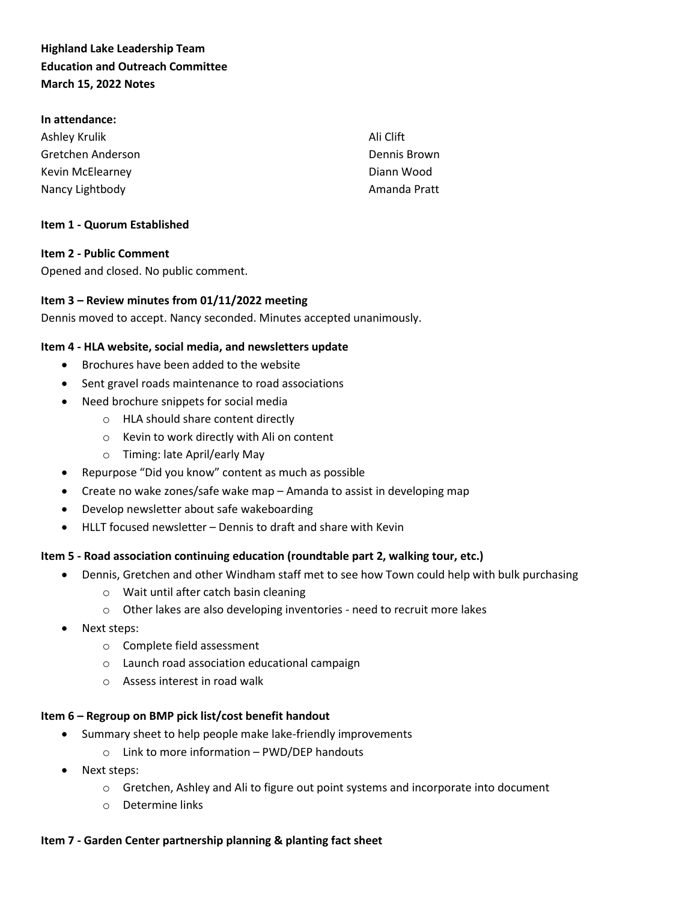# **Highland Lake Leadership Team Education and Outreach Committee March 15, 2022 Notes**

#### **In attendance:**

| Ashley Krulik     | Ali Clift    |
|-------------------|--------------|
| Gretchen Anderson | Dennis Brown |
| Kevin McElearney  | Diann Wood   |
| Nancy Lightbody   | Amanda Pratt |

#### **Item 1 - Quorum Established**

### **Item 2 - Public Comment**

Opened and closed. No public comment.

### **Item 3 – Review minutes from 01/11/2022 meeting**

Dennis moved to accept. Nancy seconded. Minutes accepted unanimously.

### **Item 4 - HLA website, social media, and newsletters update**

- Brochures have been added to the website
- Sent gravel roads maintenance to road associations
- Need brochure snippets for social media
	- o HLA should share content directly
	- o Kevin to work directly with Ali on content
	- o Timing: late April/early May
- Repurpose "Did you know" content as much as possible
- Create no wake zones/safe wake map Amanda to assist in developing map
- Develop newsletter about safe wakeboarding
- HLLT focused newsletter Dennis to draft and share with Kevin

#### **Item 5 - Road association continuing education (roundtable part 2, walking tour, etc.)**

- Dennis, Gretchen and other Windham staff met to see how Town could help with bulk purchasing
	- o Wait until after catch basin cleaning
	- o Other lakes are also developing inventories need to recruit more lakes
- Next steps:
	- o Complete field assessment
	- o Launch road association educational campaign
	- o Assess interest in road walk

#### **Item 6 – Regroup on BMP pick list/cost benefit handout**

- Summary sheet to help people make lake-friendly improvements
	- o Link to more information PWD/DEP handouts
- Next steps:
	- o Gretchen, Ashley and Ali to figure out point systems and incorporate into document
	- o Determine links

## **Item 7 - Garden Center partnership planning & planting fact sheet**